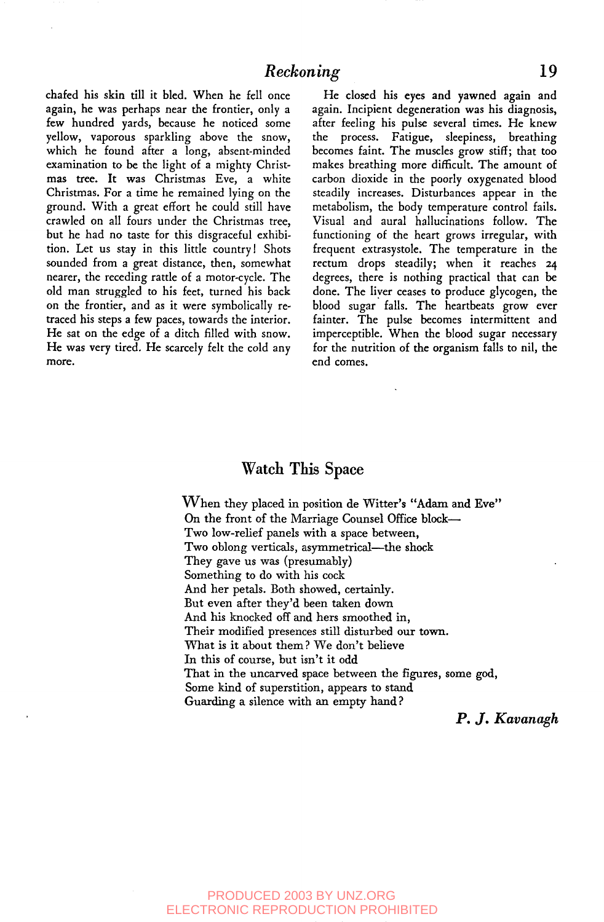chafed his skin till it bled. When he fell once again, he was perhaps near the frontier, only a few hundred yards, because he noticed some yellow, vaporous sparkling above the snow, which he found after a long, absent-minded examination to be the light of a mighty Christmas tree. It was Christmas Eve, a white Christmas. For a time he remained lying on the ground. With a great effort he could still have crawled on all fours under the Christmas tree, but he had no taste for this disgraceful exhibition. Let us stay in this little country l Shots sounded from a great distance, then, somewhat nearer, the receding rattle of a motor-cycle. The old man struggled to his feet, turned his back on the frontier, and as it were symbolically retraced his steps a few paces, towards the interior. He sat on the edge of a ditch filled with snow. He was very tired. He scarcely felt the cold any more.

He closed his eyes and yawned again and again. Incipient degeneration was his diagnosis, after feeling his pulse several times. He knew the process. Fatigue, sleepiness, breathing becomes faint. The muscles grow stiff; that too makes breathing more difficult. The amount of carbon dioxide in the poorly oxygenated blood steadily increases. Disturbances appear in the metabolism, the body temperature control fails. Visual and aural hallucinations follow. The functioning of the heart grows irregular, with frequent extrasystole. The temperature in the rectum drops steadily; when it reaches 24 degrees, there is nothing practical that can be done. The liver ceases to produce glycogen, the blood sugar falls. The heartbeats grow ever fainter. The pulse becomes intermittent and imperceptible. When the blood sugar necessary for the nutrition of the organism falls to nil, the end comes.

## **Watch This Space**

When they placed in position de Witter's "Adam and Eve" On the front of the Marriage Counsel Office block--Two low-relief panels with a space between, Two oblong verticals, asymmetrical—the shock They gave us was (presumably) Something to do with his cock And her petals. Both showed, certainly. But even after they'd been taken down And his knocked off and hers smoothed in, Their modified presences still disturbed our town. What is it about them? We don't believe In this of course, but isn't it odd That in the uncarved space between the figures, some god, Some kind of superstition, appears to stand Guarding a silence with an empty hand ?

*P. J. Kavanagh*